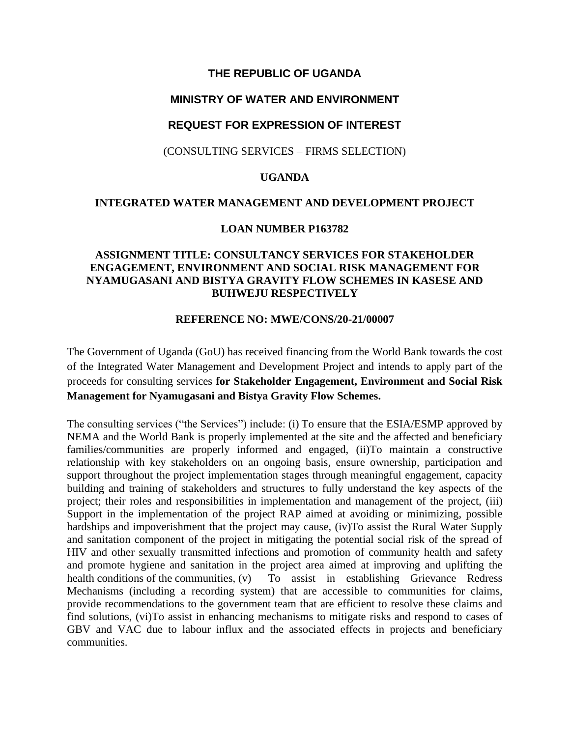# **THE REPUBLIC OF UGANDA**

# **MINISTRY OF WATER AND ENVIRONMENT**

# **REQUEST FOR EXPRESSION OF INTEREST**

(CONSULTING SERVICES – FIRMS SELECTION)

## **UGANDA**

#### **INTEGRATED WATER MANAGEMENT AND DEVELOPMENT PROJECT**

#### **LOAN NUMBER P163782**

# **ASSIGNMENT TITLE: CONSULTANCY SERVICES FOR STAKEHOLDER ENGAGEMENT, ENVIRONMENT AND SOCIAL RISK MANAGEMENT FOR NYAMUGASANI AND BISTYA GRAVITY FLOW SCHEMES IN KASESE AND BUHWEJU RESPECTIVELY**

## **REFERENCE NO: MWE/CONS/20-21/00007**

The Government of Uganda (GoU) has received financing from the World Bank towards the cost of the Integrated Water Management and Development Project and intends to apply part of the proceeds for consulting services **for Stakeholder Engagement, Environment and Social Risk Management for Nyamugasani and Bistya Gravity Flow Schemes.**

The consulting services ("the Services") include: (i) To ensure that the ESIA/ESMP approved by NEMA and the World Bank is properly implemented at the site and the affected and beneficiary families/communities are properly informed and engaged, (ii)To maintain a constructive relationship with key stakeholders on an ongoing basis, ensure ownership, participation and support throughout the project implementation stages through meaningful engagement, capacity building and training of stakeholders and structures to fully understand the key aspects of the project; their roles and responsibilities in implementation and management of the project, (iii) Support in the implementation of the project RAP aimed at avoiding or minimizing, possible hardships and impoverishment that the project may cause, (iv)To assist the Rural Water Supply and sanitation component of the project in mitigating the potential social risk of the spread of HIV and other sexually transmitted infections and promotion of community health and safety and promote hygiene and sanitation in the project area aimed at improving and uplifting the health conditions of the communities, (v) To assist in establishing Grievance Redress Mechanisms (including a recording system) that are accessible to communities for claims, provide recommendations to the government team that are efficient to resolve these claims and find solutions, (vi)To assist in enhancing mechanisms to mitigate risks and respond to cases of GBV and VAC due to labour influx and the associated effects in projects and beneficiary communities.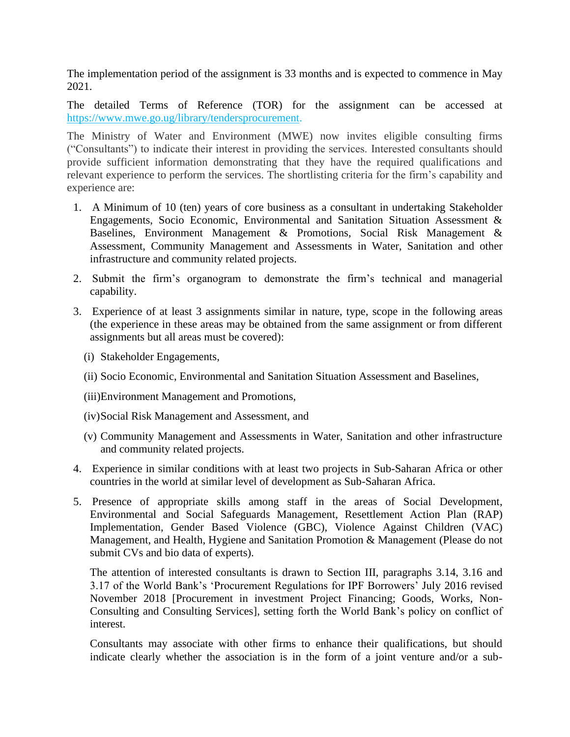The implementation period of the assignment is 33 months and is expected to commence in May 2021.

The detailed Terms of Reference (TOR) for the assignment can be accessed at [https://www.mwe.go.ug/library/tendersprocurement.](https://www.mwe.go.ug/library/tendersprocurement)

The Ministry of Water and Environment (MWE) now invites eligible consulting firms ("Consultants") to indicate their interest in providing the services. Interested consultants should provide sufficient information demonstrating that they have the required qualifications and relevant experience to perform the services. The shortlisting criteria for the firm's capability and experience are:

- 1. A Minimum of 10 (ten) years of core business as a consultant in undertaking Stakeholder Engagements, Socio Economic, Environmental and Sanitation Situation Assessment & Baselines, Environment Management & Promotions, Social Risk Management & Assessment, Community Management and Assessments in Water, Sanitation and other infrastructure and community related projects.
- 2. Submit the firm's organogram to demonstrate the firm's technical and managerial capability.
- 3. Experience of at least 3 assignments similar in nature, type, scope in the following areas (the experience in these areas may be obtained from the same assignment or from different assignments but all areas must be covered):
	- (i) Stakeholder Engagements,
	- (ii) Socio Economic, Environmental and Sanitation Situation Assessment and Baselines,
	- (iii)Environment Management and Promotions,
	- (iv)Social Risk Management and Assessment, and
	- (v) Community Management and Assessments in Water, Sanitation and other infrastructure and community related projects.
- 4. Experience in similar conditions with at least two projects in Sub-Saharan Africa or other countries in the world at similar level of development as Sub-Saharan Africa.
- 5. Presence of appropriate skills among staff in the areas of Social Development, Environmental and Social Safeguards Management, Resettlement Action Plan (RAP) Implementation, Gender Based Violence (GBC), Violence Against Children (VAC) Management, and Health, Hygiene and Sanitation Promotion & Management (Please do not submit CVs and bio data of experts).

The attention of interested consultants is drawn to Section III, paragraphs 3.14, 3.16 and 3.17 of the World Bank's 'Procurement Regulations for IPF Borrowers' July 2016 revised November 2018 [Procurement in investment Project Financing; Goods, Works, Non-Consulting and Consulting Services], setting forth the World Bank's policy on conflict of interest.

Consultants may associate with other firms to enhance their qualifications, but should indicate clearly whether the association is in the form of a joint venture and/or a sub